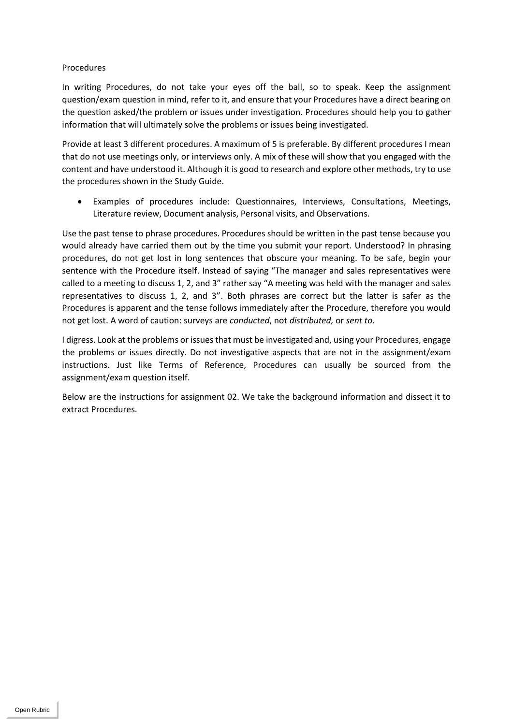## Procedures

In writing Procedures, do not take your eyes off the ball, so to speak. Keep the assignment question/exam question in mind, refer to it, and ensure that your Procedures have a direct bearing on the question asked/the problem or issues under investigation. Procedures should help you to gather information that will ultimately solve the problems or issues being investigated.

Provide at least 3 different procedures. A maximum of 5 is preferable. By different procedures I mean that do not use meetings only, or interviews only. A mix of these will show that you engaged with the content and have understood it. Although it is good to research and explore other methods, try to use the procedures shown in the Study Guide.

• Examples of procedures include: Questionnaires, Interviews, Consultations, Meetings, Literature review, Document analysis, Personal visits, and Observations.

Use the past tense to phrase procedures. Procedures should be written in the past tense because you would already have carried them out by the time you submit your report. Understood? In phrasing procedures, do not get lost in long sentences that obscure your meaning. To be safe, begin your sentence with the Procedure itself. Instead of saying "The manager and sales representatives were called to a meeting to discuss 1, 2, and 3" rather say "A meeting was held with the manager and sales representatives to discuss 1, 2, and 3". Both phrases are correct but the latter is safer as the Procedures is apparent and the tense follows immediately after the Procedure, therefore you would not get lost. A word of caution: surveys are *conducted*, not *distributed,* or *sent to*.

I digress. Look at the problems or issues that must be investigated and, using your Procedures, engage the problems or issues directly. Do not investigative aspects that are not in the assignment/exam instructions. Just like Terms of Reference, Procedures can usually be sourced from the assignment/exam question itself.

Below are the instructions for assignment 02. We take the background information and dissect it to extract Procedures.